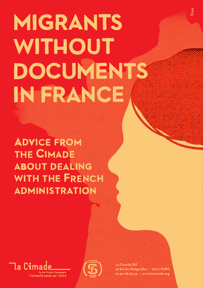# **MIGRANTS** WITHOUT **DOCUMENTS IN FRANCE**

**ADVICE FROM THE CIMADE ABOUT DEALING WITH THE FRENCH ADMINISTRATION** 





**La Cimade IDF 46 bd des Batignolles • 75017 PARIS 01 40 08 05 34 • www.lacimade.org**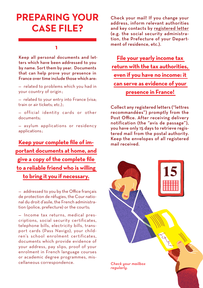## **PREPARING YOUR CASE FILE?**

#### **1**

Keep all personal documents and letters which have been addressed to you by name. Sort them by year. Documents that can help prove your presence in France over time include those which are:

— related to problems which you had in your country of origin ;

— related to your entry into France (visa; train or air tickets; etc.).

— official identity cards or other documents;

— asylum applications or residency applications ;

**Keep your complete file of important documents at home, and give a copy of the complete file to a reliable friend who is willing to bring it you if necessary.**

— addressed to you by the Office français de protection de réfugies, the Cour national du droit d'asile, the French administration (police, prefecture) or the courts;

— Income tax returns, medical prescriptions, social security certificates, telephone bills, electricity bills, transport cards (Pass Navigo), your children's school enrolment certificates, documents which provide evidence of your address, pay slips, proof of your enrolment in French language courses or academic degree programmes, miscellaneous correspondence.

Check your mail! If you change your address, inform relevant authorities and key contacts by registered letter (e.g. the social security administration, the Prefecture of your Department of residence, etc.).

**File your yearly income tax return with the tax authorities, even if you have no income: it can serve as evidence of your presence in France!** 

Collect any registered letters ("lettres recommandées") promptly from the Post Office. After receiving delivery notification (the "avis de passage"), you have only 15 days to retrieve registered mail from the postal authority. Keep the envelopes of all registered mail received.

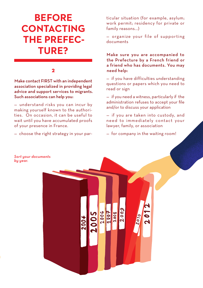# **BEFORE CONTACTING THE PREFEC-TURE?**

#### **2**

Make contact FIRST with an independent association specialized in providing legal advice and support services to migrants. Such associations can help you:

— understand risks you can incur by making yourself known to the authorities. On occasion, it can be useful to wait until you have accumulated proofs of your presence in France.

— choose the right strategy in your par-

*by year.*

ticular situation (for example, asylum; work permit; residency for private or family reasons...)

— organize your file of supporting documents

Make sure you are accompanied to the Prefecture by a French friend or a friend who has documents. You may need help:

— if you have difficulties understanding questions or papers which you need to read or sign

— if you need a witness, particularly if the administration refuses to accept your file and/or to discuss your application

— if you are taken into custody, and need to immediately contact your lawyer, family, or association

— for company in the waiting room!

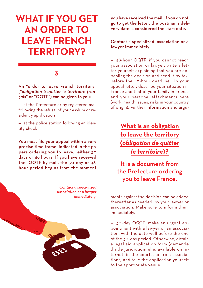# **What if you get an or der to LEAVE FRENCH territory ?**

#### **3**

#### An "order to leave French territory" ("*obligation à quitter le territoire français*" or "OQTF") can be given to you:

— at the Prefecture or by registered mail following the refusal of your asylum or residency application

— at the police station following an identity check

You must file your appeal within a very precise time frame, indicated in the papers ordering you to leave, either 30 days or 48 hours! If you have received the OQTF by mail, the 30-day or 48 hour period begins from the moment

> *Contact a specialized association or a lawyer immediately.*

you have received the mail. If you do not go to get the letter, the postman's delivery date is considered the start date.

Contact a specialized association or a lawyer immediately.

— 48-hour OQTF: if you cannot reach your association or lawyer, write a letter yourself explaining that you are appealing the decision and send it by fax, before the 48-hour deadline. In your appeal letter, describe your situation in France and that of your family in France and your personal attachments here (work, health issues, risks in your country of origin). Further information and argu-

> **What is an obligation to leave the territory (***obligation de quitter le territoire***)?**

It is a document from the Prefecture ordering you to leave France.

ments against the decision can be added thereafter as needed, by your lawyer or association. Make sure to inform them immediately.

— 30-day OQTF: make an urgent appointment with a lawyer or an association, with the date well before the end of the 30-day period. Otherwise, obtain a legal aid application form (demande d'aide juridictionnelle, available on internet, in the courts, or from associations) and take the application yourself to the appropriate venue.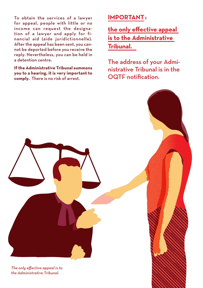To obtain the services of a lawyer for appeal, people with little or no income can request the designation of a lawyer and apply for financial aid (aide juridictionnelle). After the appeal has been sent, you cannot be deported before you receive the reply. Nevertheless, you can be held in a detention centre.

**If the Administrative Tribunal summons you to a hearing, it is very important to comply.** There is no risk of arrest.

### **Important:**

**the only effective appeal is to the Administrative Tribunal.** 

The address of your Administrative Tribunal is in the OQTF notification.

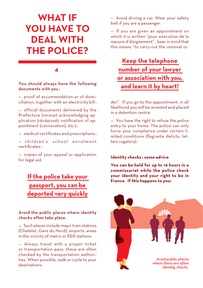# **What if you HAVE TO deal with the police ?**

#### **4**

#### You should always have the following documents with you :

— proof of accommodation or of domiciliation, together with an electricity bill ;

— official documents delivered by the Prefecture (receipt acknowledging application (récépissé), notification of appointment (convocation), etc.) ;

— medical certificates and prescriptions ;

 $-$  children's school enrolment certificates ;

— copies of your appeal or application for legal aid.

## **If the police take your passport, you can be deported very quickly**

#### Avoid the public places where identity checks often take place.

— Such places include major train stations (Chatelet, Gare du Nord); airports; areas in the vicinity of metro or RER stations.

— Always travel with a proper ticket or transportation pass: these are often checked by the transportation authorities. When possible, walk or cycle to your destinations.

— Avoid driving a car. Wear your safety belt if you are a passenger.

— If you are given an appointment on which it is written "pour execution de la mesure d'éloignement" , bear in mind that this means "to carry out the removal or-

## **Keep the telephone number of your lawyer or association with you, and learn it by heart!**

der". If you go to the appointment, in all likelihood you will be arrested and placed in a detention centre.

— You have the right to refuse the police entry to your home. The police can only force your compliance under certain limited conditions (flagrante delicto, letters rogatory).

#### **Identity checks : some advice**

**You can be held for up to 16 hours in a commissariat while the police check your identity and your right to be in France. If this happens to you:**

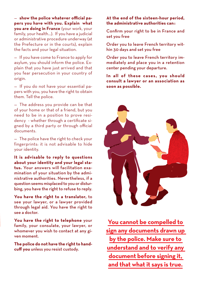— **show the police whatever official papers you have with you. Explain what you are doing in France** (your work, your family, your health…). If you have a judicial or administrative procedure underway (at the Prefecture or in the courts), explain the facts and your legal situation.

— If you have come to France to apply for asylum, you should inform the police. Explain that you have just arrived and that you fear persecution in your country of origin.

— If you do not have your essential papers with you, you have the right to obtain them. Tell the police.

— The address you provide can be that of your home or that of a friend, but you need to be in a position to prove residency - whether through a certificate signed by a third party or through official documents.

— The police have the right to check your fingerprints: it is not advisable to hide your identity.

**It is advisable to reply to questions about your identity and your legal status.** Your answers will facilitation examination of your situation by the administrative authorities. Nevertheless, if a question seems misplaced to you or disturbing, you have the right to refuse to reply.

**You have the right to a translator,** to see your lawyer, or a lawyer provided through legal aid. You have the right to see a doctor.

**You have the right to telephone** your family, your consulate, your lawyer, or whomever you wish to contact at any given moment.

**The police do not have the right to handcuff you** unless you resist custody.

**At the end of the sixteen-hour period, the administrative authorities can:**

Confirm your right to be in France and set you free

Order you to leave French territory within 30 days and set you free

Order you to leave French territory immediately and place you in a retention center pending your departure.

**In all of these cases, you should consult a lawyer or an association as soon as possible.**



**You cannot be compelled to sign any documents drawn up by the police. Make sure to understand and to verify any document before signing it, and that what it says is true.**